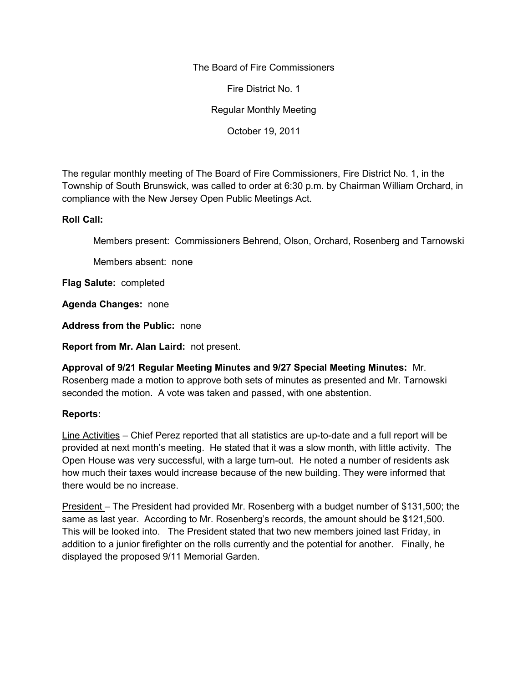The Board of Fire Commissioners

Fire District No. 1

Regular Monthly Meeting

October 19, 2011

The regular monthly meeting of The Board of Fire Commissioners, Fire District No. 1, in the Township of South Brunswick, was called to order at 6:30 p.m. by Chairman William Orchard, in compliance with the New Jersey Open Public Meetings Act.

## **Roll Call:**

Members present: Commissioners Behrend, Olson, Orchard, Rosenberg and Tarnowski

Members absent: none

**Flag Salute:** completed

**Agenda Changes:** none

**Address from the Public:** none

**Report from Mr. Alan Laird:** not present.

**Approval of 9/21 Regular Meeting Minutes and 9/27 Special Meeting Minutes:** Mr. Rosenberg made a motion to approve both sets of minutes as presented and Mr. Tarnowski seconded the motion. A vote was taken and passed, with one abstention.

## **Reports:**

Line Activities – Chief Perez reported that all statistics are up-to-date and a full report will be provided at next month's meeting. He stated that it was a slow month, with little activity. The Open House was very successful, with a large turn-out. He noted a number of residents ask how much their taxes would increase because of the new building. They were informed that there would be no increase.

President – The President had provided Mr. Rosenberg with a budget number of \$131,500; the same as last year. According to Mr. Rosenberg's records, the amount should be \$121,500. This will be looked into. The President stated that two new members joined last Friday, in addition to a junior firefighter on the rolls currently and the potential for another. Finally, he displayed the proposed 9/11 Memorial Garden.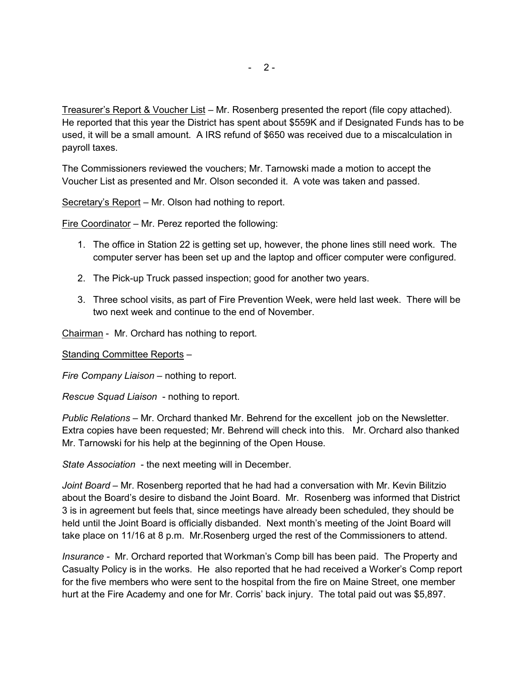Treasurer's Report & Voucher List – Mr. Rosenberg presented the report (file copy attached). He reported that this year the District has spent about \$559K and if Designated Funds has to be used, it will be a small amount. A IRS refund of \$650 was received due to a miscalculation in payroll taxes.

The Commissioners reviewed the vouchers; Mr. Tarnowski made a motion to accept the Voucher List as presented and Mr. Olson seconded it. A vote was taken and passed.

Secretary's Report – Mr. Olson had nothing to report.

Fire Coordinator – Mr. Perez reported the following:

- 1. The office in Station 22 is getting set up, however, the phone lines still need work. The computer server has been set up and the laptop and officer computer were configured.
- 2. The Pick-up Truck passed inspection; good for another two years.
- 3. Three school visits, as part of Fire Prevention Week, were held last week. There will be two next week and continue to the end of November.

Chairman - Mr. Orchard has nothing to report.

Standing Committee Reports –

*Fire Company Liaison –* nothing to report.

*Rescue Squad Liaison* - nothing to report.

*Public Relations* – Mr. Orchard thanked Mr. Behrend for the excellent job on the Newsletter. Extra copies have been requested; Mr. Behrend will check into this. Mr. Orchard also thanked Mr. Tarnowski for his help at the beginning of the Open House.

*State Association* - the next meeting will in December.

*Joint Board –* Mr. Rosenberg reported that he had had a conversation with Mr. Kevin Bilitzio about the Board's desire to disband the Joint Board. Mr. Rosenberg was informed that District 3 is in agreement but feels that, since meetings have already been scheduled, they should be held until the Joint Board is officially disbanded. Next month's meeting of the Joint Board will take place on 11/16 at 8 p.m. Mr.Rosenberg urged the rest of the Commissioners to attend.

*Insurance -* Mr. Orchard reported that Workman's Comp bill has been paid. The Property and Casualty Policy is in the works. He also reported that he had received a Worker's Comp report for the five members who were sent to the hospital from the fire on Maine Street, one member hurt at the Fire Academy and one for Mr. Corris' back injury. The total paid out was \$5,897.